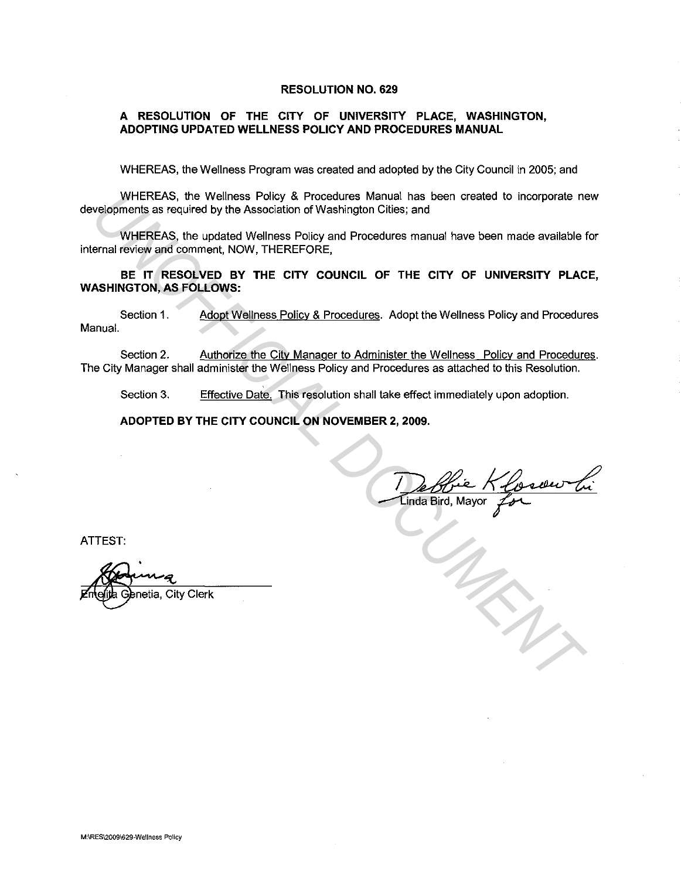### **RESOLUTION NO. 629**

# **A RESOLUTION OF THE CITY OF UNIVERSITY PLACE, WASHINGTON, ADOPTING UPDATED WELLNESS POLICY AND PROCEDURES MANUAL**

WHEREAS, the Wellness Program was created and adopted by the City Council in 2005; and

WHEREAS, the Wellness Policy & Procedures Manual has been created to incorporate new developments as required by the Association of Washington Cities; and

WHEREAS, the updated Wellness Policy and Procedures manual have been made available for internal review and comment, NOW, THEREFORE,

**BE IT RESOLVED BY THE CITY COUNCIL OF THE CITY OF UNIVERSITY PLACE, WASHINGTON, AS FOLLOWS:**  WHEREAS, the Wollness Policy & Procedures Manual has been created to incorporate networks the Welley the Association of Washington Cilles; and<br>WHEREAS, the updated Wellness Policy and Procedures manual have been made avail

Section 1. Adopt Wellness Policy & Procedures. Adopt the Wellness Policy and Procedures Manual.

Section 2. Authorize the City Manager to Administer the Wellness Policy and Procedures. The City Manager shall administer the Wellness Policy and Procedures as attached to this Resolution.

Section 3. Effective Date. This resolution shall take effect immediately upon adoption.

**ADOPTED BY THE CITY COUNCIL ON NOVEMBER 2, 2009.** 

De Bie Klosew Li

ATTEST:

netia, City Clerk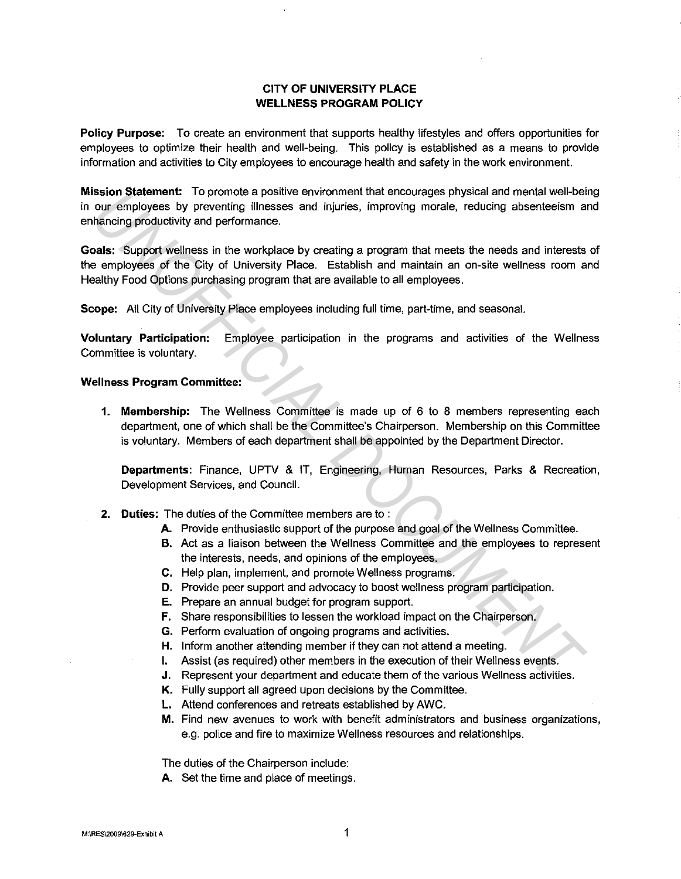# **CITY OF UNIVERSITY PLACE WELLNESS PROGRAM POLICY**

**Policy Purpose:** To create an environment that supports healthy lifestyles and offers opportunities for employees to optimize their health and well-being. This policy is established as a means to provide information and activities to City employees to encourage health and safety in the work environment.

**Mission Statement:** To promote a positive environment that encourages physical and mental well-being in our employees by preventing illnesses and injuries, improving morale, reducing absenteeism and enhancing productivity and performance.

**Goals:** Support wellness in the workplace by creating a program that meets the needs and interests of the employees of the City of University Place. Establish and maintain an on-site wellness room and Healthy Food Options purchasing program that are available to all employees. **Example Starting Convention and the interaction of the engologias physical and means the photon starting and the means of the engotion starting information and the means than the mean the mean of the care of the City of U** 

**Scope:** All City of University Place employees including full time, part-time, and seasonal.

**Voluntary Participation:** Employee participation in the programs and activities of the Wellness Committee is voluntary.

### **Wellness Program Committee:**

**1. Membership:** The Wellness Committee is made up of 6 to 8 members representing each department, one of which shall be the Committee's Chairperson. Membership on this Committee is voluntary. Members of each department shall be appointed by the Department Director.

**Departments:** Finance, UPTV & IT, Engineering, Human Resources, Parks & Recreation, Development Services, and Council.

- **2. Duties:** The duties of the Committee members are to :
	- **A.** Provide enthusiastic support of the purpose and goal of the Wellness Committee.
	- **B.** Act as a liaison between the Wellness Committee and the employees to represent the interests, needs, and opinions of the employees.
	- **C.** Help plan, implement, and promote Wellness programs.
	- **D.** Provide peer support and advocacy to boost wellness program participation.
	- **E.** Prepare an annual budget for program support.
	- **F.** Share responsibilities to lessen the workload impact on the Chairperson.
	- **G.** Perform evaluation of ongoing programs and activities.
	- **H.** Inform another attending member if they can not attend a meeting.
	- I. Assist (as required) other members in the execution of their Wellness events.
	- **J.** Represent your department and educate them of the various Wellness activities.
	- **K.** Fully support all agreed upon decisions by the Committee.
	- **L.** Attend conferences and retreats established by AWC.
	- **M.** Find new avenues to work with benefit administrators and business organizations, e.g. police and fire to maximize Wellness resources and relationships.

The duties of the Chairperson include:

**A.** Set the time and place of meetings.